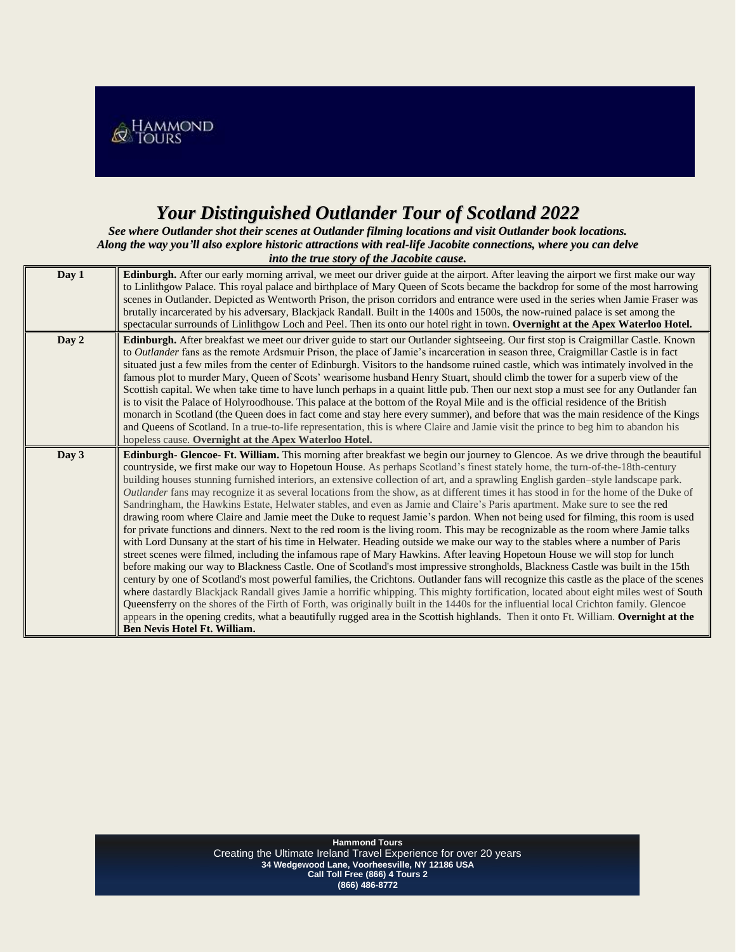

## *Your Distinguished Outlander Tour of Scotland 2022*

*See where Outlander shot their scenes at Outlander filming locations and visit Outlander book locations. Along the way you'll also explore historic attractions with real-life Jacobite connections, where you can delve into the true story of the Jacobite cause.*

| Day 1 | Edinburgh. After our early morning arrival, we meet our driver guide at the airport. After leaving the airport we first make our way<br>to Linlithgow Palace. This royal palace and birthplace of Mary Queen of Scots became the backdrop for some of the most harrowing<br>scenes in Outlander. Depicted as Wentworth Prison, the prison corridors and entrance were used in the series when Jamie Fraser was<br>brutally incarcerated by his adversary, Blackjack Randall. Built in the 1400s and 1500s, the now-ruined palace is set among the<br>spectacular surrounds of Linlithgow Loch and Peel. Then its onto our hotel right in town. Overnight at the Apex Waterloo Hotel.                                                                                                                                                                                                                                                                                                                                                                                                                                                                                                                                                                                                                                                                                                                                                                                                                                                                                                                                                                                                                                                                                                                                                                                                                                                                                       |
|-------|----------------------------------------------------------------------------------------------------------------------------------------------------------------------------------------------------------------------------------------------------------------------------------------------------------------------------------------------------------------------------------------------------------------------------------------------------------------------------------------------------------------------------------------------------------------------------------------------------------------------------------------------------------------------------------------------------------------------------------------------------------------------------------------------------------------------------------------------------------------------------------------------------------------------------------------------------------------------------------------------------------------------------------------------------------------------------------------------------------------------------------------------------------------------------------------------------------------------------------------------------------------------------------------------------------------------------------------------------------------------------------------------------------------------------------------------------------------------------------------------------------------------------------------------------------------------------------------------------------------------------------------------------------------------------------------------------------------------------------------------------------------------------------------------------------------------------------------------------------------------------------------------------------------------------------------------------------------------------|
| Day 2 | Edinburgh. After breakfast we meet our driver guide to start our Outlander sightseeing. Our first stop is Craigmillar Castle. Known<br>to Outlander fans as the remote Ardsmuir Prison, the place of Jamie's incarceration in season three, Craigmillar Castle is in fact<br>situated just a few miles from the center of Edinburgh. Visitors to the handsome ruined castle, which was intimately involved in the<br>famous plot to murder Mary, Queen of Scots' wearisome husband Henry Stuart, should climb the tower for a superb view of the<br>Scottish capital. We when take time to have lunch perhaps in a quaint little pub. Then our next stop a must see for any Outlander fan<br>is to visit the Palace of Holyroodhouse. This palace at the bottom of the Royal Mile and is the official residence of the British<br>monarch in Scotland (the Queen does in fact come and stay here every summer), and before that was the main residence of the Kings<br>and Queens of Scotland. In a true-to-life representation, this is where Claire and Jamie visit the prince to beg him to abandon his<br>hopeless cause. Overnight at the Apex Waterloo Hotel.                                                                                                                                                                                                                                                                                                                                                                                                                                                                                                                                                                                                                                                                                                                                                                                                        |
| Day 3 | Edinburgh- Glencoe- Ft. William. This morning after breakfast we begin our journey to Glencoe. As we drive through the beautiful<br>countryside, we first make our way to Hopetoun House. As perhaps Scotland's finest stately home, the turn-of-the-18th-century<br>building houses stunning furnished interiors, an extensive collection of art, and a sprawling English garden-style landscape park.<br>Outlander fans may recognize it as several locations from the show, as at different times it has stood in for the home of the Duke of<br>Sandringham, the Hawkins Estate, Helwater stables, and even as Jamie and Claire's Paris apartment. Make sure to see the red<br>drawing room where Claire and Jamie meet the Duke to request Jamie's pardon. When not being used for filming, this room is used<br>for private functions and dinners. Next to the red room is the living room. This may be recognizable as the room where Jamie talks<br>with Lord Dunsany at the start of his time in Helwater. Heading outside we make our way to the stables where a number of Paris<br>street scenes were filmed, including the infamous rape of Mary Hawkins. After leaving Hopetoun House we will stop for lunch<br>before making our way to Blackness Castle. One of Scotland's most impressive strongholds, Blackness Castle was built in the 15th<br>century by one of Scotland's most powerful families, the Crichtons. Outlander fans will recognize this castle as the place of the scenes<br>where dastardly Blackjack Randall gives Jamie a horrific whipping. This mighty fortification, located about eight miles west of South<br>Queensferry on the shores of the Firth of Forth, was originally built in the 1440s for the influential local Crichton family. Glencoe<br>appears in the opening credits, what a beautifully rugged area in the Scottish highlands. Then it onto Ft. William. Overnight at the<br><b>Ben Nevis Hotel Ft. William.</b> |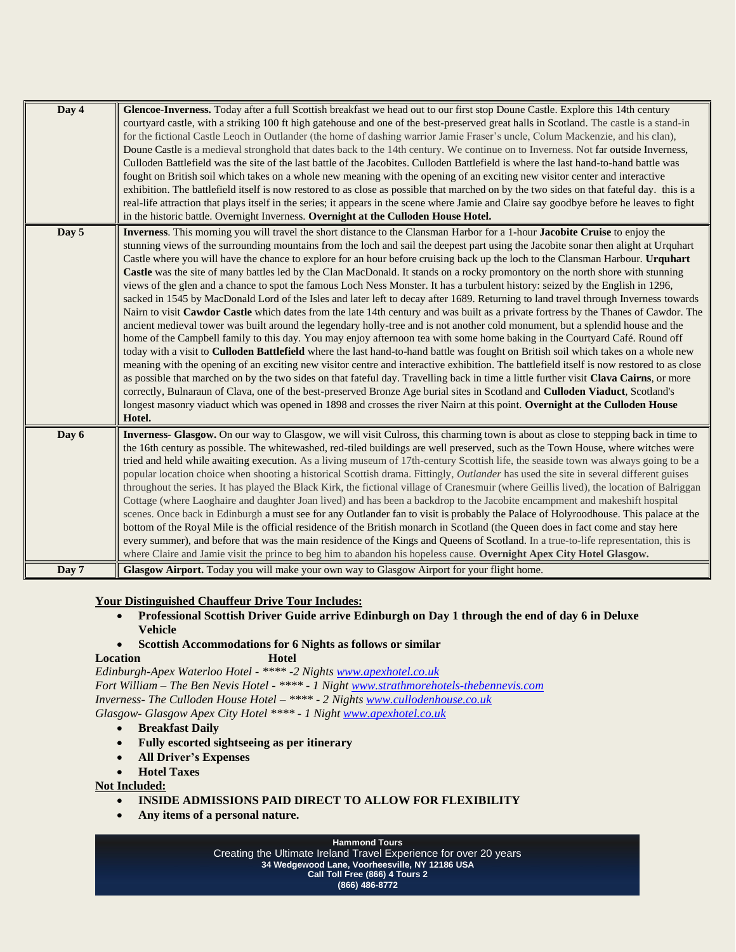| Day 4 | Glencoe-Inverness. Today after a full Scottish breakfast we head out to our first stop Doune Castle. Explore this 14th century<br>courtyard castle, with a striking 100 ft high gatehouse and one of the best-preserved great halls in Scotland. The castle is a stand-in<br>for the fictional Castle Leoch in Outlander (the home of dashing warrior Jamie Fraser's uncle, Colum Mackenzie, and his clan),<br>Doune Castle is a medieval stronghold that dates back to the 14th century. We continue on to Inverness. Not far outside Inverness,<br>Culloden Battlefield was the site of the last battle of the Jacobites. Culloden Battlefield is where the last hand-to-hand battle was<br>fought on British soil which takes on a whole new meaning with the opening of an exciting new visitor center and interactive<br>exhibition. The battlefield itself is now restored to as close as possible that marched on by the two sides on that fateful day. this is a<br>real-life attraction that plays itself in the series; it appears in the scene where Jamie and Claire say goodbye before he leaves to fight<br>in the historic battle. Overnight Inverness. Overnight at the Culloden House Hotel.                                                                                                                                                                                                                                                                                                                                                                                                                                                                                                                                                                                                                                                                                                                          |
|-------|----------------------------------------------------------------------------------------------------------------------------------------------------------------------------------------------------------------------------------------------------------------------------------------------------------------------------------------------------------------------------------------------------------------------------------------------------------------------------------------------------------------------------------------------------------------------------------------------------------------------------------------------------------------------------------------------------------------------------------------------------------------------------------------------------------------------------------------------------------------------------------------------------------------------------------------------------------------------------------------------------------------------------------------------------------------------------------------------------------------------------------------------------------------------------------------------------------------------------------------------------------------------------------------------------------------------------------------------------------------------------------------------------------------------------------------------------------------------------------------------------------------------------------------------------------------------------------------------------------------------------------------------------------------------------------------------------------------------------------------------------------------------------------------------------------------------------------------------------------------------------------------------------------------------------------------|
| Day 5 | Inverness. This morning you will travel the short distance to the Clansman Harbor for a 1-hour Jacobite Cruise to enjoy the<br>stunning views of the surrounding mountains from the loch and sail the deepest part using the Jacobite sonar then alight at Urquhart<br>Castle where you will have the chance to explore for an hour before cruising back up the loch to the Clansman Harbour. Urquhart<br>Castle was the site of many battles led by the Clan MacDonald. It stands on a rocky promontory on the north shore with stunning<br>views of the glen and a chance to spot the famous Loch Ness Monster. It has a turbulent history: seized by the English in 1296,<br>sacked in 1545 by MacDonald Lord of the Isles and later left to decay after 1689. Returning to land travel through Inverness towards<br>Nairn to visit Cawdor Castle which dates from the late 14th century and was built as a private fortress by the Thanes of Cawdor. The<br>ancient medieval tower was built around the legendary holly-tree and is not another cold monument, but a splendid house and the<br>home of the Campbell family to this day. You may enjoy afternoon tea with some home baking in the Courtyard Café. Round off<br>today with a visit to Culloden Battlefield where the last hand-to-hand battle was fought on British soil which takes on a whole new<br>meaning with the opening of an exciting new visitor centre and interactive exhibition. The battlefield itself is now restored to as close<br>as possible that marched on by the two sides on that fateful day. Travelling back in time a little further visit Clava Cairns, or more<br>correctly, Bulnaraun of Clava, one of the best-preserved Bronze Age burial sites in Scotland and Culloden Viaduct, Scotland's<br>longest masonry viaduct which was opened in 1898 and crosses the river Nairn at this point. Overnight at the Culloden House<br>Hotel. |
| Day 6 | Inverness- Glasgow. On our way to Glasgow, we will visit Culross, this charming town is about as close to stepping back in time to<br>the 16th century as possible. The whitewashed, red-tiled buildings are well preserved, such as the Town House, where witches were<br>tried and held while awaiting execution. As a living museum of 17th-century Scottish life, the seaside town was always going to be a<br>popular location choice when shooting a historical Scottish drama. Fittingly, Outlander has used the site in several different guises<br>throughout the series. It has played the Black Kirk, the fictional village of Cranesmuir (where Geillis lived), the location of Balriggan<br>Cottage (where Laoghaire and daughter Joan lived) and has been a backdrop to the Jacobite encampment and makeshift hospital<br>scenes. Once back in Edinburgh a must see for any Outlander fan to visit is probably the Palace of Holyroodhouse. This palace at the<br>bottom of the Royal Mile is the official residence of the British monarch in Scotland (the Queen does in fact come and stay here<br>every summer), and before that was the main residence of the Kings and Queens of Scotland. In a true-to-life representation, this is<br>where Claire and Jamie visit the prince to beg him to abandon his hopeless cause. Overnight Apex City Hotel Glasgow.                                                                                                                                                                                                                                                                                                                                                                                                                                                                                                                                                       |
| Day 7 | Glasgow Airport. Today you will make your own way to Glasgow Airport for your flight home.                                                                                                                                                                                                                                                                                                                                                                                                                                                                                                                                                                                                                                                                                                                                                                                                                                                                                                                                                                                                                                                                                                                                                                                                                                                                                                                                                                                                                                                                                                                                                                                                                                                                                                                                                                                                                                             |

## **Your Distinguished Chauffeur Drive Tour Includes:**

- **Professional Scottish Driver Guide arrive Edinburgh on Day 1 through the end of day 6 in Deluxe Vehicle**
- **Scottish Accommodations for 6 Nights as follows or similar**
- **Location Hotel**

*Edinburgh-Apex Waterloo Hotel - \*\*\*\* -2 Nights [www.apexhotel.co.uk](http://www.apexhotel.co.uk/) Fort William – The Ben Nevis Hotel - \*\*\*\* - 1 Night [www.strathmorehotels-thebennevis.com](http://www.strathmorehotels-thebennevis.com/) Inverness- The Culloden House Hotel – \*\*\*\* - 2 Nights [www.cullodenhouse.co.uk](http://www.cullodenhouse.co.uk/) Glasgow- Glasgow Apex City Hotel \*\*\*\* - 1 Night [www.apexhotel.co.uk](http://www.apexhotel.co.uk/)*

- **Breakfast Daily**
- **Fully escorted sightseeing as per itinerary**
- **All Driver's Expenses**
- **Hotel Taxes**

**Not Included:**

- **INSIDE ADMISSIONS PAID DIRECT TO ALLOW FOR FLEXIBILITY**
- **Any items of a personal nature.**

**Hammond Tours** 

Creating the Ultimate Ireland Travel Experience for over 20 years **34 Wedgewood Lane, Voorheesville, NY 12186 USA**

**Call Toll Free (866) 4 Tours 2 (866) 486-8772**